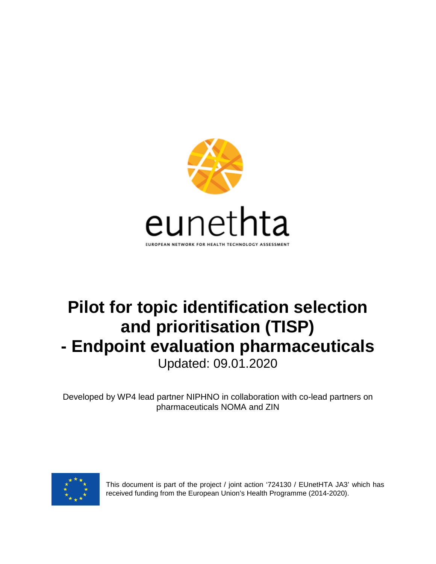

# **Pilot for topic identification selection and prioritisation (TISP) - Endpoint evaluation pharmaceuticals** Updated: 09.01.2020

Developed by WP4 lead partner NIPHNO in collaboration with co-lead partners on pharmaceuticals NOMA and ZIN



This document is part of the project / joint action '724130 / EUnetHTA JA3' which has received funding from the European Union's Health Programme (2014-2020).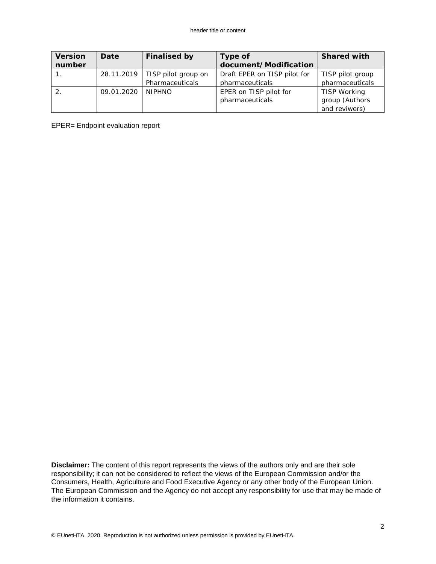| <b>Version</b> | Date       | <b>Finalised by</b> | Type of                      | <b>Shared with</b> |
|----------------|------------|---------------------|------------------------------|--------------------|
| number         |            |                     | document/Modification        |                    |
|                | 28.11.2019 | TISP pilot group on | Draft EPER on TISP pilot for | TISP pilot group   |
|                |            | Pharmaceuticals     | pharmaceuticals              | pharmaceuticals    |
|                | 09.01.2020 | <b>NIPHNO</b>       | EPER on TISP pilot for       | TISP Working       |
|                |            |                     | pharmaceuticals              | group (Authors     |
|                |            |                     |                              | and reviwers)      |

EPER= Endpoint evaluation report

**Disclaimer:** The content of this report represents the views of the authors only and are their sole responsibility; it can not be considered to reflect the views of the European Commission and/or the Consumers, Health, Agriculture and Food Executive Agency or any other body of the European Union. The European Commission and the Agency do not accept any responsibility for use that may be made of the information it contains.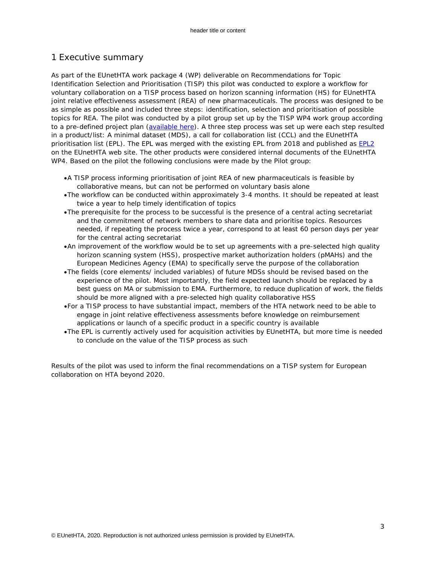# 1 Executive summary

As part of the EUnetHTA work package 4 (WP) deliverable on Recommendations for Topic Identification Selection and Prioritisation (TISP) this pilot was conducted to explore a workflow for voluntary collaboration on a TISP process based on horizon scanning information (HS) for EUnetHTA joint relative effectiveness assessment (REA) of new pharmaceuticals. The process was designed to be as simple as possible and included three steps: identification, selection and prioritisation of possible topics for REA. The pilot was conducted by a pilot group set up by the TISP WP4 work group according to a pre-defined project plan [\(available here\)](https://eunethta.eu/services/horizon-scanning/). A three step process was set up were each step resulted in a product/list: A minimal dataset (MDS), a call for collaboration list (CCL) and the EUnetHTA prioritisation list (EPL). The EPL was merged with the existing EPL from 2018 and published as [EPL2](https://eunethta.eu/assessments/prioritisation-list/) on the EUnetHTA web site. The other products were considered internal documents of the EUnetHTA WP4. Based on the pilot the following conclusions were made by the Pilot group:

- •*A TISP process informing prioritisation of joint REA of new pharmaceuticals is feasible by collaborative means, but can not be performed on voluntary basis alone*
- •*The workflow can be conducted within approximately 3-4 months. It should be repeated at least twice a year to help timely identification of topics*
- •*The prerequisite for the process to be successful is the presence of a central acting secretariat and the commitment of network members to share data and prioritise topics. Resources needed, if repeating the process twice a year, correspond to at least 60 person days per year for the central acting secretariat*
- •*An improvement of the workflow would be to set up agreements with a pre-selected high quality horizon scanning system (HSS), prospective market authorization holders (pMAHs) and the European Medicines Agency (EMA) to specifically serve the purpose of the collaboration*
- •*The fields (core elements/ included variables) of future MDSs should be revised based on the experience of the pilot. Most importantly, the field expected launch should be replaced by a best guess on MA or submission to EMA. Furthermore, to reduce duplication of work, the fields should be more aligned with a pre-selected high quality collaborative HSS*
- •*For a TISP process to have substantial impact, members of the HTA network need to be able to engage in joint relative effectiveness assessments before knowledge on reimbursement applications or launch of a specific product in a specific country is available*
- •*The EPL is currently actively used for acquisition activities by EUnetHTA, but more time is needed to conclude on the value of the TISP process as such*

Results of the pilot was used to inform the final recommendations on a TISP system for European collaboration on HTA beyond 2020.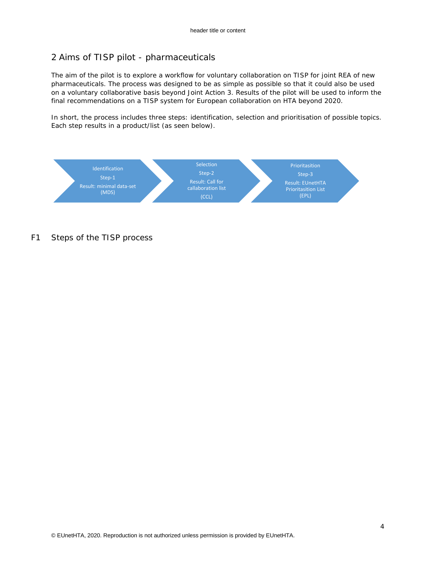# 2 Aims of TISP pilot - pharmaceuticals

The aim of the pilot is to explore a workflow for voluntary collaboration on TISP for joint REA of new pharmaceuticals. The process was designed to be as simple as possible so that it could also be used on a voluntary collaborative basis beyond Joint Action 3. Results of the pilot will be used to inform the final recommendations on a TISP system for European collaboration on HTA beyond 2020.

In short, the process includes three steps: identification, selection and prioritisation of possible topics. Each step results in a product/list (as seen below).



*F1 Steps of the TISP process*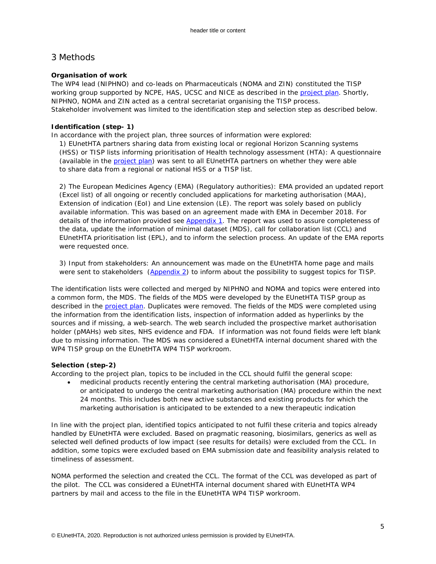# 3 Methods

# **Organisation of work**

The WP4 lead (NIPHNO) and co-leads on Pharmaceuticals (NOMA and ZIN) constituted the TISP working group supported by NCPE, HAS, UCSC and NICE as described in the [project plan.](https://eunethta.eu/services/horizon-scanning/) Shortly, NIPHNO, NOMA and ZIN acted as a central secretariat organising the TISP process. Stakeholder involvement was limited to the identification step and selection step as described below.

# **Identification (step- 1)**

In accordance with the project plan, three sources of information were explored:

1) EUnetHTA partners sharing data from existing local or regional Horizon Scanning systems (HSS) or TISP lists informing prioritisation of Health technology assessment (HTA): A questionnaire (available in the [project plan\)](https://eunethta.eu/services/horizon-scanning/) was sent to all EUnetHTA partners on whether they were able to share data from a regional or national HSS or a TISP list.

2) The European Medicines Agency (EMA) (Regulatory authorities): EMA provided an updated report (Excel list) of all ongoing or recently concluded applications for marketing authorisation (MAA), Extension of indication (EoI) and Line extension (LE). The report was solely based on publicly available information. This was based on an agreement made with EMA in December 2018. For details of the information provided see [Appendix 1.](#page-17-0) The report was used to assure completeness of the data, update the information of minimal dataset (MDS), call for collaboration list (CCL) and EUnetHTA prioritisation list (EPL), and to inform the selection process. An update of the EMA reports were requested once.

3) Input from stakeholders: An announcement was made on the EUnetHTA home page and mails were sent to stakeholders  $(Appendix 2)$  to inform about the possibility to suggest topics for TISP.

The identification lists were collected and merged by NIPHNO and NOMA and topics were entered into a common form, the MDS. The fields of the MDS were developed by the EUnetHTA TISP group as described in the [project plan.](https://eunethta.eu/services/horizon-scanning/) Duplicates were removed. The fields of the MDS were completed using the information from the identification lists, inspection of information added as hyperlinks by the sources and if missing, a web-search. The web search included the prospective market authorisation holder (pMAHs) web sites, NHS evidence and FDA. If information was not found fields were left blank due to missing information. The MDS was considered a EUnetHTA internal document shared with the WP4 TISP group on the EUnetHTA WP4 TISP workroom.

## **Selection (step-2)**

According to the project plan, topics to be included in the CCL should fulfil the general scope:

• *medicinal products recently entering the central marketing authorisation (MA) procedure, or anticipated to undergo the central marketing authorisation (MA) procedure within the next 24 months. This includes both new active substances and existing products for which the marketing authorisation is anticipated to be extended to a new therapeutic indication* 

In line with the project plan, identified topics anticipated to not fulfil these criteria and topics already handled by EUnetHTA were excluded. Based on pragmatic reasoning, biosimilars, generics as well as selected well defined products of low impact (see results for details) were excluded from the CCL. In addition, some topics were excluded based on EMA submission date and feasibility analysis related to timeliness of assessment.

NOMA performed the selection and created the CCL. The format of the CCL was developed as part of the pilot. The CCL was considered a EUnetHTA internal document shared with EUnetHTA WP4 partners by mail and access to the file in the EUnetHTA WP4 TISP workroom.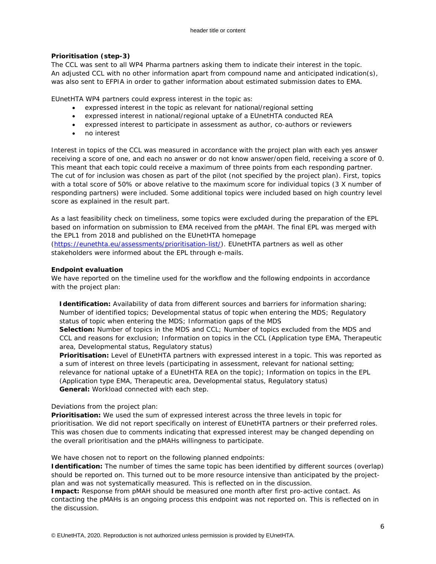## **Prioritisation (step-3)**

The CCL was sent to all WP4 Pharma partners asking them to indicate their interest in the topic. An adjusted CCL with no other information apart from compound name and anticipated indication(s), was also sent to EFPIA in order to gather information about estimated submission dates to EMA.

EUnetHTA WP4 partners could express interest in the topic as:

- *expressed interest in the topic as relevant for national/regional setting*
- *expressed interest in national/regional uptake of a EUnetHTA conducted REA*
- *expressed interest to participate in assessment as author, co-authors or reviewers*
- *no interest*

Interest in topics of the CCL was measured in accordance with the project plan with each yes answer receiving a score of one, and each no answer or do not know answer/open field, receiving a score of 0. This meant that each topic could receive a maximum of three points from each responding partner. The cut of for inclusion was chosen as part of the pilot (not specified by the project plan). First, topics with a total score of 50% or above relative to the maximum score for individual topics (3 X number of responding partners) were included. Some additional topics were included based on high country level score as explained in the result part.

As a last feasibility check on timeliness, some topics were excluded during the preparation of the EPL based on information on submission to EMA received from the pMAH. The final EPL was merged with the EPL1 from 2018 and published on the EUnetHTA homepage [\(https://eunethta.eu/assessments/prioritisation-list/\)](https://eunethta.eu/assessments/prioritisation-list/). EUnetHTA partners as well as other stakeholders were informed about the EPL through e-mails.

## **Endpoint evaluation**

We have reported on the timeline used for the workflow and the following endpoints in accordance with the project plan:

*Identification: Availability of data from different sources and barriers for information sharing; Number of identified topics;* Developmental status of topic when entering the MDS; *Regulatory status of topic when entering the MDS; Information gaps of the MDS*

*Selection: Number of topics in the MDS and CCL; Number of topics excluded from the MDS and CCL and reasons for exclusion; Information on topics in the CCL (Application type EMA, Therapeutic area, Developmental status, Regulatory status)*

*Prioritisation: Level of EUnetHTA partners with expressed interest in a topic. This was reported as a sum of interest on three levels (participating in assessment, relevant for national setting; relevance for national uptake of a EUnetHTA REA on the topic); Information on topics in the EPL (Application type EMA, Therapeutic area, Developmental status, Regulatory status) General: Workload connected with each step.*

Deviations from the project plan:

*Prioritisation:* We used the sum of expressed interest across the three levels in topic for prioritisation. We did not report specifically on interest of EUnetHTA partners or their preferred roles. This was chosen due to comments indicating that expressed interest may be changed depending on the overall prioritisation and the pMAHs willingness to participate.

We have chosen not to report on the following planned endpoints:

**Identification:** *The number of times the same topic has been identified by different sources (overlap) should be reported on.* This turned out to be more resource intensive than anticipated by the projectplan and was not systematically measured. This is reflected on in the discussion.

**Impact:** Response from pMAH should be measured one month after first pro-active contact. As contacting the pMAHs is an ongoing process this endpoint was not reported on. This is reflected on in the discussion.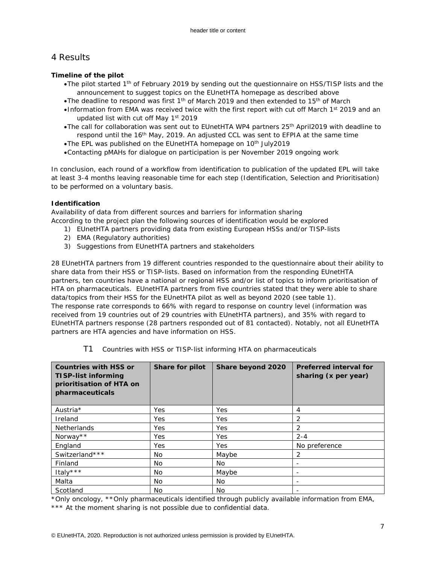# 4 Results

## **Timeline of the pilot**

- •*The pilot started 1th of February 2019 by sending out the questionnaire on HSS/TISP lists and the announcement to suggest topics on the EUnetHTA homepage as described above*
- •*The deadline to respond was first 1th of March 2019 and then extended to 15th of March*
- •*Information from EMA was received twice with the first report with cut off March 1st 2019 and an updated list with cut off May 1st 2019*
- •*The call for collaboration was sent out to EUnetHTA WP4 partners 25th April2019 with deadline to respond until the 16th May, 2019. An adjusted CCL was sent to EFPIA at the same time*
- •*The EPL was published on the EUnetHTA homepage on 10th July2019*
- •*Contacting pMAHs for dialogue on participation is per November 2019 ongoing work*

In conclusion, each round of a workflow from identification to publication of the updated EPL will take at least 3-4 months leaving reasonable time for each step (Identification, Selection and Prioritisation) to be performed on a voluntary basis.

# **Identification**

*Availability of data from different sources and barriers for information sharing* According to the project plan the following sources of identification would be explored

- *1) EUnetHTA partners providing data from existing European HSSs and/or TISP-lists*
- *2) EMA (Regulatory authorities)*
- *3) Suggestions from EUnetHTA partners and stakeholders*

28 EUnetHTA partners from 19 different countries responded to the questionnaire about their ability to share data from their HSS or TISP-lists. Based on information from the responding EUnetHTA partners, ten countries have a national or regional HSS and/or list of topics to inform prioritisation of HTA on pharmaceuticals. EUnetHTA partners from five countries stated that they were able to share data/topics from their HSS for the EUnetHTA pilot as well as beyond 2020 (see table 1). The response rate corresponds to 66% with regard to response on country level (information was received from 19 countries out of 29 countries with EUnetHTA partners), and 35% with regard to EUnetHTA partners response (28 partners responded out of 81 contacted). Notably, not all EUnetHTA partners are HTA agencies and have information on HSS.

| <b>Countries with HSS or</b><br>TISP-list informing<br>prioritisation of HTA on<br>pharmaceuticals | Share for pilot | Share beyond 2020 | <b>Preferred interval for</b><br>sharing (x per year) |  |
|----------------------------------------------------------------------------------------------------|-----------------|-------------------|-------------------------------------------------------|--|
| Austria*                                                                                           | Yes             | Yes               | 4                                                     |  |
| Ireland                                                                                            | <b>Yes</b>      | <b>Yes</b>        | 2                                                     |  |
| <b>Netherlands</b>                                                                                 | Yes             | <b>Yes</b>        | 2                                                     |  |
| Norway**                                                                                           | <b>Yes</b>      | <b>Yes</b>        | $2 - 4$                                               |  |
| England                                                                                            | Yes             | <b>Yes</b>        | No preference                                         |  |
| Switzerland***                                                                                     | No.             | Maybe             | 2                                                     |  |
| Finland                                                                                            | No.             | No                |                                                       |  |
| Italy***                                                                                           | No.             | Maybe             | -                                                     |  |
| Malta                                                                                              | No.             | No.               |                                                       |  |
| Scotland                                                                                           | No.             | No.               |                                                       |  |

T1 *Countries with HSS or TISP-list informing HTA on pharmaceuticals*

*\*Only oncology, \*\*Only pharmaceuticals identified through publicly available information from EMA, \*\*\* At the moment sharing is not possible due to confidential data.*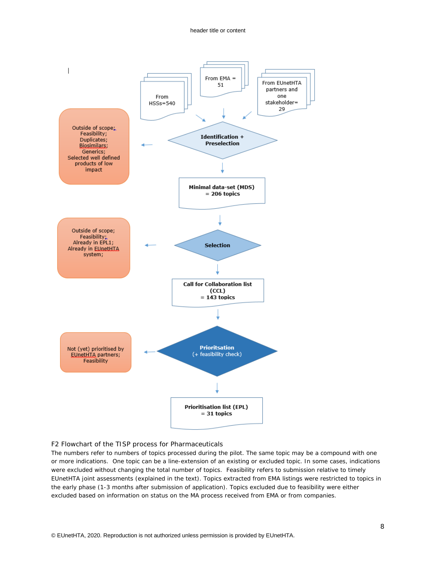#### header title or content



### F2 Flowchart of the TISP process for Pharmaceuticals

*The numbers refer to numbers of topics processed during the pilot. The same topic may be a compound with one or more indications. One topic can be a line-extension of an existing or excluded topic. In some cases, indications were excluded without changing the total number of topics. Feasibility refers to submission relative to timely EUnetHTA joint assessments (explained in the text). Topics extracted from EMA listings were restricted to topics in the early phase (1-3 months after submission of application). Topics excluded due to feasibility were either excluded based on information on status on the MA process received from EMA or from companies.*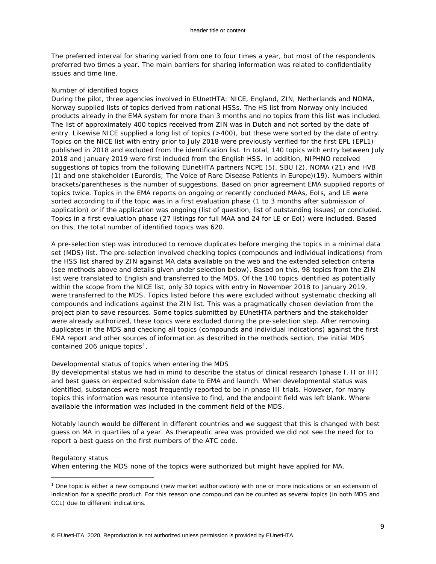The preferred interval for sharing varied from one to four times a year, but most of the respondents preferred two times a year. The main barriers for sharing information was related to confidentiality issues and time line.

#### *Number of identified topics*

During the pilot, three agencies involved in EUnetHTA: NICE, England, ZIN, Netherlands and NOMA, Norway supplied lists of topics derived from national HSSs. The HS list from Norway only included products already in the EMA system for more than 3 months and no topics from this list was included. The list of approximately 400 topics received from ZIN was in Dutch and not sorted by the date of entry. Likewise NICE supplied a long list of topics (>400), but these were sorted by the date of entry. Topics on the NICE list with entry prior to July 2018 were previously verified for the first EPL (EPL1) published in 2018 and excluded from the identification list. In total, 140 topics with entry between July 2018 and January 2019 were first included from the English HSS. In addition, NIPHNO received suggestions of topics from the following EUnetHTA partners NCPE (5), SBU (2), NOMA (21) and HVB (1) and one stakeholder (Eurordis; The Voice of Rare Disease Patients in Europe)(19). Numbers within brackets/parentheses is the number of suggestions. Based on prior agreement EMA supplied reports of topics twice. Topics in the EMA reports on ongoing or recently concluded MAAs, EoIs, and LE were sorted according to if the topic was in a first evaluation phase (1 to 3 months after submission of application) or if the application was ongoing (list of question, list of outstanding issues) or concluded. Topics in a first evaluation phase (27 listings for full MAA and 24 for LE or EoI) were included. Based on this, the total number of identified topics was 620.

A pre-selection step was introduced to remove duplicates before merging the topics in a minimal data set (MDS) list. The pre-selection involved checking topics (compounds and individual indications) from the HSS list shared by ZIN against MA data available on the web and the extended selection criteria (see methods above and details given under selection below). Based on this, 98 topics from the ZIN list were translated to English and transferred to the MDS. Of the 140 topics identified as potentially within the scope from the NICE list, only 30 topics with entry in November 2018 to January 2019, were transferred to the MDS. Topics listed before this were excluded without systematic checking all compounds and indications against the ZIN list. This was a pragmatically chosen deviation from the project plan to save resources. Some topics submitted by EUnetHTA partners and the stakeholder were already authorized, these topics were excluded during the pre-selection step. After removing duplicates in the MDS and checking all topics (compounds and individual indications) against the first EMA report and other sources of information as described in the methods section, the initial MDS contained 206 unique topics<sup>[1](#page-8-0)</sup>.

### *Developmental status of topics when entering the MDS*

By developmental status we had in mind to describe the status of clinical research (phase I, II or III) and best guess on expected submission date to EMA and launch. When developmental status was identified, substances were most frequently reported to be in phase III trials. However, for many topics this information was resource intensive to find, and the endpoint field was left blank. Where available the information was included in the comment field of the MDS.

Notably launch would be different in different countries and we suggest that this is changed with best guess on MA in quartiles of a year. As therapeutic area was provided we did not see the need for to report a best guess on the first numbers of the ATC code.

#### *Regulatory status*

ł

When entering the MDS none of the topics were authorized but might have applied for MA.

<span id="page-8-0"></span><sup>1</sup> One topic is either a new compound (new market authorization) with one or more indications or an extension of indication for a specific product. For this reason one compound can be counted as several topics (in both MDS and CCL) due to different indications.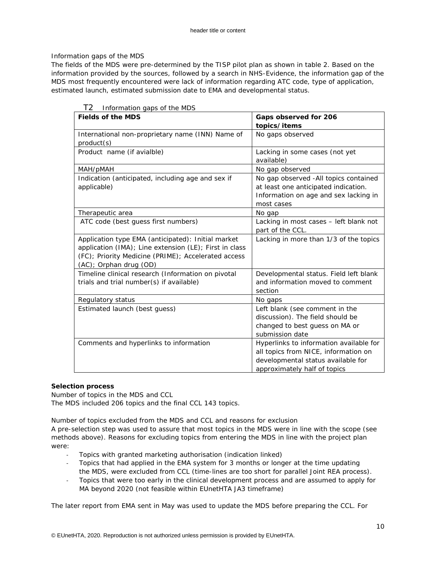# *Information gaps of the MDS*

The fields of the MDS were pre-determined by the TISP pilot plan as shown in table 2. Based on the information provided by the sources, followed by a search in NHS-Evidence, the information gap of the MDS most frequently encountered were lack of information regarding ATC code, type of application, estimated launch, estimated submission date to EMA and developmental status.

| <b>Fields of the MDS</b>                                                                                                                                                                      | Gaps observed for 206<br>topics/items                                                                                                                 |
|-----------------------------------------------------------------------------------------------------------------------------------------------------------------------------------------------|-------------------------------------------------------------------------------------------------------------------------------------------------------|
| International non-proprietary name (INN) Name of<br>product(s)                                                                                                                                | No gaps observed                                                                                                                                      |
| Product name (if avialble)                                                                                                                                                                    | Lacking in some cases (not yet<br>available)                                                                                                          |
| MAH/pMAH                                                                                                                                                                                      | No gap observed                                                                                                                                       |
| Indication (anticipated, including age and sex if<br>applicable)                                                                                                                              | No gap observed -All topics contained<br>at least one anticipated indication.<br>Information on age and sex lacking in<br>most cases                  |
| Therapeutic area                                                                                                                                                                              | No gap                                                                                                                                                |
| ATC code (best guess first numbers)                                                                                                                                                           | Lacking in most cases - left blank not<br>part of the CCL.                                                                                            |
| Application type EMA (anticipated): Initial market<br>application (IMA); Line extension (LE); First in class<br>(FC); Priority Medicine (PRIME); Accelerated access<br>(AC); Orphan drug (OD) | Lacking in more than 1/3 of the topics                                                                                                                |
| Timeline clinical research (Information on pivotal<br>trials and trial number(s) if available)                                                                                                | Developmental status. Field left blank<br>and information moved to comment<br>section                                                                 |
| Regulatory status                                                                                                                                                                             | No gaps                                                                                                                                               |
| Estimated launch (best guess)                                                                                                                                                                 | Left blank (see comment in the<br>discussion). The field should be<br>changed to best guess on MA or<br>submission date                               |
| Comments and hyperlinks to information                                                                                                                                                        | Hyperlinks to information available for<br>all topics from NICE, information on<br>developmental status available for<br>approximately half of topics |

## T2 *Information gaps of the MDS*

# **Selection process**

*Number of topics in the MDS and CCL* The MDS included 206 topics and the final CCL 143 topics.

*Number of topics excluded from the MDS and CCL and reasons for exclusion* A pre-selection step was used to assure that most topics in the MDS were in line with the scope (see

methods above). Reasons for excluding topics from entering the MDS in line with the project plan were:

- *Topics with granted marketing authorisation (indication linked)*
- *Topics that had applied in the EMA system for 3 months or longer at the time updating the MDS, were excluded from CCL (time-lines are too short for parallel Joint REA process).*
- *Topics that were too early in the clinical development process and are assumed to apply for MA beyond 2020 (not feasible within EUnetHTA JA3 timeframe)*

The later report from EMA sent in May was used to update the MDS before preparing the CCL. For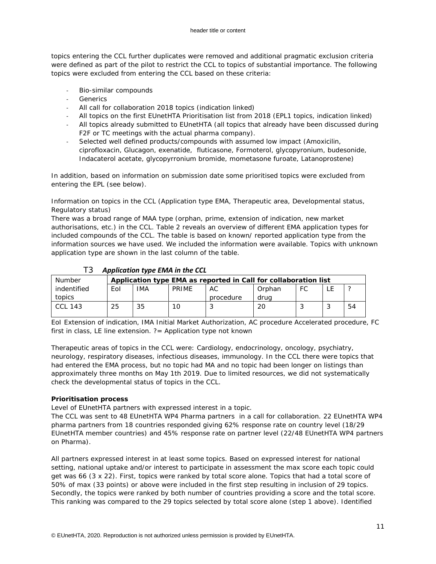topics entering the CCL further duplicates were removed and additional pragmatic exclusion criteria were defined as part of the pilot to restrict the CCL to topics of substantial importance. The following topics were excluded from entering the CCL based on these criteria:

- *Bio-similar compounds*
- *Generics*
- *All call for collaboration 2018 topics (indication linked)*
- *All topics on the first EUnetHTA Prioritisation list from 2018 (EPL1 topics, indication linked)*
- *All topics already submitted to EUnetHTA (all topics that already have been discussed during F2F or TC meetings with the actual pharma company).*
- *Selected well defined products/compounds with assumed low impact (Amoxicilin, ciprofloxacin, Glucagon, exenatide, fluticasone, Formoterol, glycopyronium, budesonide, Indacaterol acetate, glycopyrronium bromide, mometasone furoate, Latanoprostene)*

In addition, based on information on submission date some prioritised topics were excluded from entering the EPL (see below).

## *Information on topics in the CCL (Application type EMA, Therapeutic area, Developmental status, Regulatory status)*

There was a broad range of MAA type (orphan, prime, extension of indication, new market authorisations, etc.) in the CCL. Table 2 reveals an overview of different EMA application types for included compounds of the CCL. The table is based on known/ reported application type from the information sources we have used. We included the information were available. Topics with unknown application type are shown in the last column of the table.

| Number         |     | Application type EMA as reported in Call for collaboration list |       |           |        |    |  |    |
|----------------|-----|-----------------------------------------------------------------|-------|-----------|--------|----|--|----|
| indentified    | Eol | IMA                                                             | PRIMF | AC        | Orphan | FC |  |    |
| topics         |     |                                                                 |       | procedure | drua   |    |  |    |
| <b>CCL 143</b> | 25  | 35                                                              |       |           | 20     |    |  | 54 |
|                |     |                                                                 |       |           |        |    |  |    |

# T3 *Application type EMA in the CCL*

EoI Extension of indication, IMA Initial Market Authorization, AC procedure Accelerated procedure, FC first in class, LE line extension. ?= Application type not known

Therapeutic areas of topics in the CCL were: Cardiology, endocrinology, oncology, psychiatry, neurology, respiratory diseases, infectious diseases, immunology. In the CCL there were topics that had entered the EMA process, but no topic had MA and no topic had been longer on listings than approximately three months on May 1th 2019. Due to limited resources, we did not systematically check the developmental status of topics in the CCL.

## **Prioritisation process**

*Level of EUnetHTA partners with expressed interest in a topic.* 

The CCL was sent to 48 EUnetHTA WP4 Pharma partners in a call for collaboration. 22 EUnetHTA WP4 pharma partners from 18 countries responded giving 62% response rate on country level (18/29 EUnetHTA member countries) and 45% response rate on partner level (22/48 EUnetHTA WP4 partners on Pharma).

All partners expressed interest in at least some topics. Based on expressed interest for national setting, national uptake and/or interest to participate in assessment the max score each topic could get was 66 (3 x 22). First, topics were ranked by total score alone. Topics that had a total score of 50% of max (33 points) or above were included in the first step resulting in inclusion of 29 topics. Secondly, the topics were ranked by both number of countries providing a score and the total score. This ranking was compared to the 29 topics selected by total score alone (step 1 above). Identified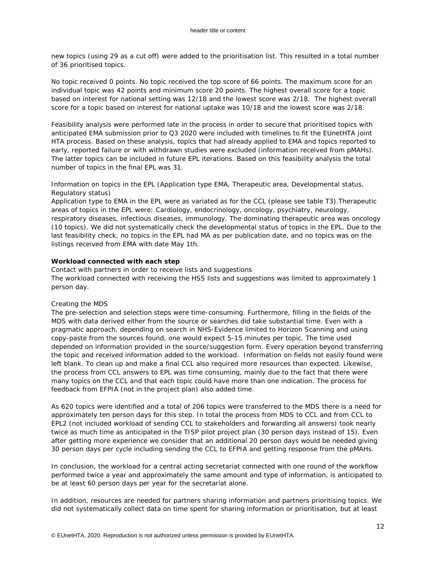new topics (using 29 as a cut off) were added to the prioritisation list. This resulted in a total number of 36 prioritised topics.

No topic received 0 points. No topic received the top score of 66 points. The maximum score for an individual topic was 42 points and minimum score 20 points. The highest overall score for a topic based on interest for national setting was 12/18 and the lowest score was 2/18. The highest overall score for a topic based on interest for national uptake was 10/18 and the lowest score was 2/18.

Feasibility analysis were performed late in the process in order to secure that prioritised topics with anticipated EMA submission prior to Q3 2020 were included with timelines to fit the EUnetHTA joint HTA process. Based on these analysis, topics that had already applied to EMA and topics reported to early, reported failure or with withdrawn studies were excluded (information received from pMAHs). The latter topics can be included in future EPL iterations. Based on this feasibility analysis the total number of topics in the final EPL was 31.

## *Information on topics in the EPL (Application type EMA, Therapeutic area, Developmental status, Regulatory status)*

Application type to EMA in the EPL were as variated as for the CCL (please see table T3).Therapeutic areas of topics in the EPL were: Cardiology, endocrinology, oncology, psychiatry, neurology, respiratory diseases, infectious diseases, immunology. The dominating therapeutic area was oncology (10 topics). We did not systematically check the developmental status of topics in the EPL. Due to the last feasibility check, no topics in the EPL had MA as per publication date, and no topics was on the listings received from EMA with date May 1th.

### **Workload connected with each step**

*Contact with partners in order to receive lists and suggestions* The workload connected with receiving the HSS lists and suggestions was limited to approximately 1 person day.

### *Creating the MDS*

The pre-selection and selection steps were time-consuming. Furthermore, filling in the fields of the MDS with data derived either from the source or searches did take substantial time. Even with a pragmatic approach, depending on search in NHS-Evidence limited to Horizon Scanning and using copy-paste from the sources found, one would expect 5-15 minutes per topic. The time used depended on information provided in the source/suggestion form. Every operation beyond transferring the topic and received information added to the workload. Information on fields not easily found were left blank. To clean up and make a final CCL also required more resources than expected. Likewise, the process from CCL answers to EPL was time consuming, mainly due to the fact that there were many topics on the CCL and that each topic could have more than one indication. The process for feedback from EFPIA (not in the project plan) also added time.

As 620 topics were identified and a total of 206 topics were transferred to the MDS there is a need for approximately ten person days for this step. In total the process from MDS to CCL and from CCL to EPL2 (not included workload of sending CCL to stakeholders and forwarding all answers) took nearly twice as much time as anticipated in the TISP pilot project plan (30 person days instead of 15). Even after getting more experience we consider that an additional 20 person days would be needed giving 30 person days per cycle including sending the CCL to EFPIA and getting response from the pMAHs.

In conclusion, the workload for a central acting secretariat connected with one round of the workflow performed twice a year and approximately the same amount and type of information, is anticipated to be at least 60 person days per year for the secretariat alone.

In addition, resources are needed for partners sharing information and partners prioritising topics. We did not systematically collect data on time spent for sharing information or prioritisation, but at least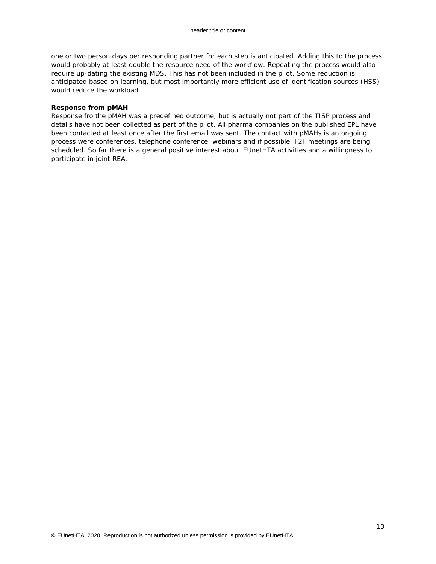one or two person days per responding partner for each step is anticipated. Adding this to the process would probably at least double the resource need of the workflow. Repeating the process would also require up-dating the existing MDS. This has not been included in the pilot. Some reduction is anticipated based on learning, but most importantly more efficient use of identification sources (HSS) would reduce the workload.

#### **Response from pMAH**

Response fro the pMAH was a predefined outcome, but is actually not part of the TISP process and details have not been collected as part of the pilot. All pharma companies on the published EPL have been contacted at least once after the first email was sent. The contact with pMAHs is an ongoing process were conferences, telephone conference, webinars and if possible, F2F meetings are being scheduled. So far there is a general positive interest about EUnetHTA activities and a willingness to participate in joint REA.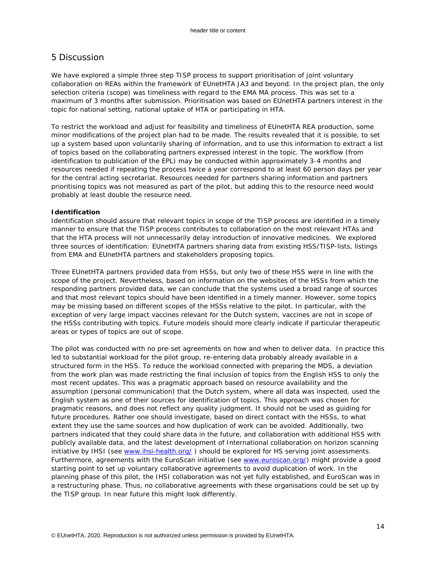# 5 Discussion

We have explored a simple three step TISP process to support prioritisation of joint voluntary collaboration on REAs within the framework of EUnetHTA JA3 and beyond. In the project plan, the only selection criteria (scope) was timeliness with regard to the EMA MA process. This was set to a maximum of 3 months after submission. Prioritisation was based on EUnetHTA partners interest in the topic for national setting, national uptake of HTA or participating in HTA.

To restrict the workload and adjust for feasibility and timeliness of EUnetHTA REA production, some minor modifications of the project plan had to be made. The results revealed that it is possible, to set up a system based upon voluntarily sharing of information, and to use this information to extract a list of topics based on the collaborating partners expressed interest in the topic. The workflow (from identification to publication of the EPL) may be conducted within approximately 3-4 months and resources needed if repeating the process twice a year correspond to at least 60 person days per year for the central acting secretariat. Resources needed for partners sharing information and partners prioritising topics was not measured as part of the pilot, but adding this to the resource need would probably at least double the resource need.

## **Identification**

Identification should assure that relevant topics in scope of the TISP process are identified in a timely manner to ensure that the TISP process contributes to collaboration on the most relevant HTAs and that the HTA process will not unnecessarily delay introduction of innovative medicines. We explored three sources of identification: EUnetHTA partners sharing data from existing HSS/TISP-lists, listings from EMA and EUnetHTA partners and stakeholders proposing topics.

Three EUnetHTA partners provided data from HSSs, but only two of these HSS were in line with the scope of the project. Nevertheless, based on information on the websites of the HSSs from which the responding partners provided data, we can conclude that the systems used a broad range of sources and that most relevant topics should have been identified in a timely manner. However, some topics may be missing based on different scopes of the HSSs relative to the pilot. In particular, with the exception of very large impact vaccines relevant for the Dutch system, vaccines are not in scope of the HSSs contributing with topics. Future models should more clearly indicate if particular therapeutic areas or types of topics are out of scope.

The pilot was conducted with no pre-set agreements on how and when to deliver data. In practice this led to substantial workload for the pilot group, re-entering data probably already available in a structured form in the HSS. To reduce the workload connected with preparing the MDS, a deviation from the work plan was made restricting the final inclusion of topics from the English HSS to only the most recent updates. This was a pragmatic approach based on resource availability and the assumption (personal communication) that the Dutch system, where all data was inspected, used the English system as one of their sources for identification of topics. This approach was chosen for pragmatic reasons, and does not reflect any quality judgment. It should not be used as guiding for future procedures. Rather one should investigate, based on direct contact with the HSSs, to what extent they use the same sources and how duplication of work can be avoided. Additionally, two partners indicated that they could share data in the future, and collaboration with additional HSS with publicly available data, and the latest development of International collaboration on horizon scanning initiative by IHSI (see [www.ihsi-health.org/](http://www.ihsi-health.org/) ) should be explored for HS serving joint assessments. Furthermore, agreements with the EuroScan initiative (see [www.euroscan.org/\)](http://www.euroscan.org/) might provide a good starting point to set up voluntary collaborative agreements to avoid duplication of work. In the planning phase of this pilot, the IHSI collaboration was not yet fully established, and EuroScan was in a restructuring phase. Thus, no collaborative agreements with these organisations could be set up by the TISP group. In near future this might look differently.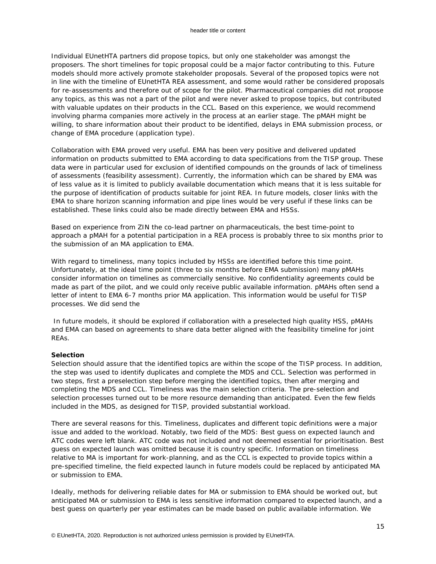Individual EUnetHTA partners did propose topics, but only one stakeholder was amongst the proposers. The short timelines for topic proposal could be a major factor contributing to this. Future models should more actively promote stakeholder proposals. Several of the proposed topics were not in line with the timeline of EUnetHTA REA assessment, and some would rather be considered proposals for re-assessments and therefore out of scope for the pilot. Pharmaceutical companies did not propose any topics, as this was not a part of the pilot and were never asked to propose topics, but contributed with valuable updates on their products in the CCL. Based on this experience, we would recommend involving pharma companies more actively in the process at an earlier stage. The pMAH might be willing, to share information about their product to be identified, delays in EMA submission process, or change of EMA procedure (application type).

Collaboration with EMA proved very useful. EMA has been very positive and delivered updated information on products submitted to EMA according to data specifications from the TISP group. These data were in particular used for exclusion of identified compounds on the grounds of lack of timeliness of assessments (feasibility assessment). Currently, the information which can be shared by EMA was of less value as it is limited to publicly available documentation which means that it is less suitable for the purpose of identification of products suitable for joint REA. In future models, closer links with the EMA to share horizon scanning information and pipe lines would be very useful if these links can be established. These links could also be made directly between EMA and HSSs.

Based on experience from ZIN the co-lead partner on pharmaceuticals, the best time-point to approach a pMAH for a potential participation in a REA process is probably three to six months prior to the submission of an MA application to EMA.

With regard to timeliness, many topics included by HSSs are identified before this time point. Unfortunately, at the ideal time point (three to six months before EMA submission) many pMAHs consider information on timelines as commercially sensitive. No confidentiality agreements could be made as part of the pilot, and we could only receive public available information. pMAHs often send a letter of intent to EMA 6-7 months prior MA application. This information would be useful for TISP processes. We did send the

In future models, it should be explored if collaboration with a preselected high quality HSS, pMAHs and EMA can based on agreements to share data better aligned with the feasibility timeline for joint REAs.

### **Selection**

Selection should assure that the identified topics are within the scope of the TISP process. In addition, the step was used to identify duplicates and complete the MDS and CCL. Selection was performed in two steps, first a preselection step before merging the identified topics, then after merging and completing the MDS and CCL. Timeliness was the main selection criteria. The pre-selection and selection processes turned out to be more resource demanding than anticipated. Even the few fields included in the MDS, as designed for TISP, provided substantial workload.

There are several reasons for this. Timeliness, duplicates and different topic definitions were a major issue and added to the workload. Notably, two field of the MDS: Best guess on expected launch and ATC codes were left blank. ATC code was not included and not deemed essential for prioritisation. Best guess on expected launch was omitted because it is country specific. Information on timeliness relative to MA is important for work-planning, and as the CCL is expected to provide topics within a pre-specified timeline, the field expected launch in future models could be replaced by anticipated MA or submission to EMA.

Ideally, methods for delivering reliable dates for MA or submission to EMA should be worked out, but anticipated MA or submission to EMA is less sensitive information compared to expected launch, and a best guess on quarterly per year estimates can be made based on public available information. We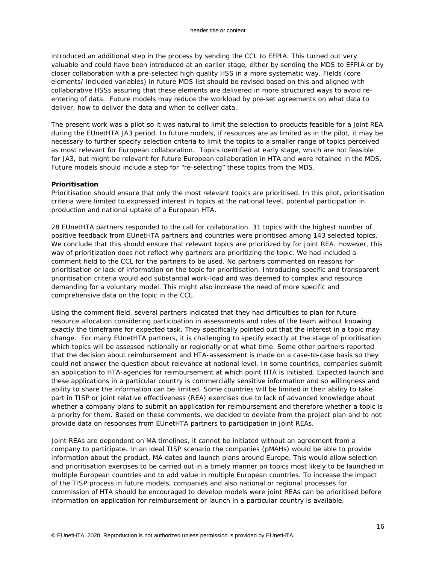introduced an additional step in the process by sending the CCL to EFPIA. This turned out very valuable and could have been introduced at an earlier stage, either by sending the MDS to EFPIA or by closer collaboration with a pre-selected high quality HSS in a more systematic way. Fields (core elements/ included variables) in future MDS list should be revised based on this and aligned with collaborative HSSs assuring that these elements are delivered in more structured ways to avoid reentering of data. Future models may reduce the workload by pre-set agreements on what data to deliver, how to deliver the data and when to deliver data.

The present work was a pilot so it was natural to limit the selection to products feasible for a joint REA during the EUnetHTA JA3 period. In future models, if resources are as limited as in the pilot, it may be necessary to further specify selection criteria to limit the topics to a smaller range of topics perceived as most relevant for European collaboration. Topics identified at early stage, which are not feasible for JA3, but might be relevant for future European collaboration in HTA and were retained in the MDS. Future models should include a step for "re-selecting" these topics from the MDS.

## **Prioritisation**

Prioritisation should ensure that only the most relevant topics are prioritised. In this pilot, prioritisation criteria were limited to expressed interest in topics at the national level, potential participation in production and national uptake of a European HTA.

28 EUnetHTA partners responded to the call for collaboration. 31 topics with the highest number of positive feedback from EUnetHTA partners and countries were prioritised among 143 selected topics. We conclude that this should ensure that relevant topics are prioritized by for joint REA. However, this way of prioritization does not reflect why partners are prioritizing the topic. We had included a comment field to the CCL for the partners to be used. No partners commented on reasons for prioritisation or lack of information on the topic for prioritisation. Introducing specific and transparent prioritisation criteria would add substantial work-load and was deemed to complex and resource demanding for a voluntary model. This might also increase the need of more specific and comprehensive data on the topic in the CCL.

Using the comment field, several partners indicated that they had difficulties to plan for future resource allocation considering participation in assessments and roles of the team without knowing exactly the timeframe for expected task. They specifically pointed out that the interest in a topic may change. For many EUnetHTA partners, it is challenging to specify exactly at the stage of prioritisation which topics will be assessed nationally or regionally or at what time. Some other partners reported that the decision about reimbursement and HTA-assessment is made on a case-to-case basis so they could not answer the question about relevance at national level. In some countries, companies submit an application to HTA-agencies for reimbursement at which point HTA is initiated. Expected launch and these applications in a particular country is commercially sensitive information and so willingness and ability to share the information can be limited. Some countries will be limited in their ability to take part in TISP or joint relative effectiveness (REA) exercises due to lack of advanced knowledge about whether a company plans to submit an application for reimbursement and therefore whether a topic is a priority for them. Based on these comments, we decided to deviate from the project plan and to not provide data on responses from EUnetHTA partners to participation in joint REAs.

Joint REAs are dependent on MA timelines, it cannot be initiated without an agreement from a company to participate. In an ideal TISP scenario the companies (pMAHs) would be able to provide information about the product, MA dates and launch plans around Europe. This would allow selection and prioritisation exercises to be carried out in a timely manner on topics most likely to be launched in multiple European countries and to add value in multiple European countries. To increase the impact of the TISP process in future models, companies and also national or regional processes for commission of HTA should be encouraged to develop models were joint REAs can be prioritised before information on application for reimbursement or launch in a particular country is available.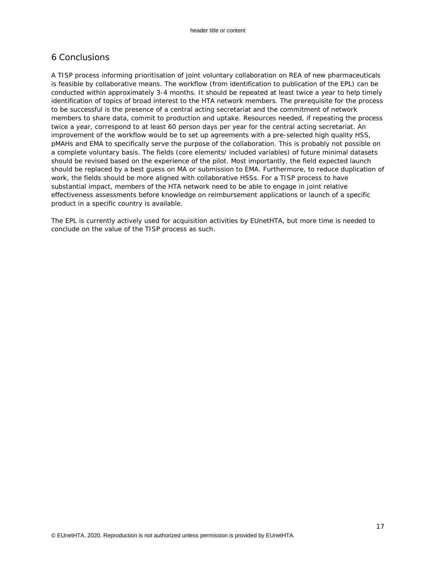# 6 Conclusions

A TISP process informing prioritisation of joint voluntary collaboration on REA of new pharmaceuticals is feasible by collaborative means. The workflow (from identification to publication of the EPL) can be conducted within approximately 3-4 months. It should be repeated at least twice a year to help timely identification of topics of broad interest to the HTA network members. The prerequisite for the process to be successful is the presence of a central acting secretariat and the commitment of network members to share data, commit to production and uptake. Resources needed, if repeating the process twice a year, correspond to at least 60 person days per year for the central acting secretariat. An improvement of the workflow would be to set up agreements with a pre-selected high quality HSS, pMAHs and EMA to specifically serve the purpose of the collaboration. This is probably not possible on a complete voluntary basis. The fields (core elements/ included variables) of future minimal datasets should be revised based on the experience of the pilot. Most importantly, the field expected launch should be replaced by a best guess on MA or submission to EMA. Furthermore, to reduce duplication of work, the fields should be more aligned with collaborative HSSs. For a TISP process to have substantial impact, members of the HTA network need to be able to engage in joint relative effectiveness assessments before knowledge on reimbursement applications or launch of a specific product in a specific country is available.

The EPL is currently actively used for acquisition activities by EUnetHTA, but more time is needed to conclude on the value of the TISP process as such.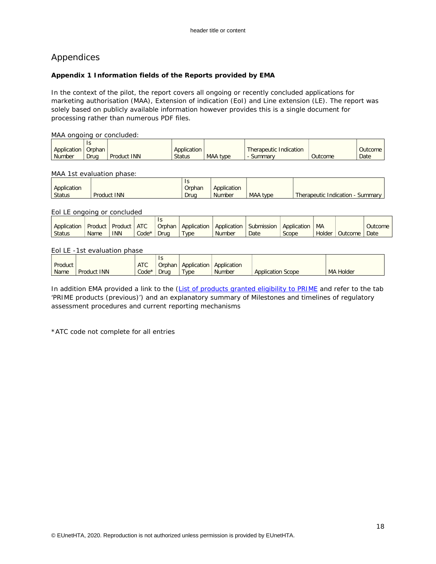# Appendices

## <span id="page-17-0"></span>**Appendix 1 Information fields of the Reports provided by EMA**

In the context of the pilot, the report covers all ongoing or recently concluded applications for marketing authorisation (MAA), Extension of indication (EoI) and Line extension (LE). The report was solely based on publicly available information however provides this is a single document for processing rather than numerous PDF files.

## MAA ongoing or concluded:

|             | ۰,<br>13 |                    |               |          |                        |                |                |
|-------------|----------|--------------------|---------------|----------|------------------------|----------------|----------------|
| Application | Orphan   |                    | Application   |          | Therapeutic Indication |                | <b>Outcome</b> |
| Number      | Drug     | <b>Product INN</b> | <b>Status</b> | MAA type | Summary                | <b>Outcome</b> | Date           |

## MAA 1st evaluation phase:

|               |             | 13     |               |          |                                   |
|---------------|-------------|--------|---------------|----------|-----------------------------------|
| Application   |             | Orphan | Application   |          |                                   |
| <b>Status</b> | Product INN | Drug   | <b>Number</b> | MAA type | Therapeutic Indication<br>Summary |

## Eol LE ongoing or concluded

| Application | Product | <b>Product</b> | <b>ATC</b> | Orphan | Application | Application | Submission | Application | MA            |         | Outcome |
|-------------|---------|----------------|------------|--------|-------------|-------------|------------|-------------|---------------|---------|---------|
| Status      | Name    | <b>INN</b>     | $Code*$    | Drug   | <b>VDe</b>  | Number      | Date       | Scope       | <b>Holder</b> | Outcome | Date    |
|             |         |                |            |        |             |             |            |             |               |         |         |

## Eol LE -1st evaluation phase

|         |             |            | Is     |             |               |                          |                  |
|---------|-------------|------------|--------|-------------|---------------|--------------------------|------------------|
| Product |             | <b>ATC</b> | Orphan | Application | Application   |                          |                  |
| Name    | Product INN | Code*      | Drug   | <b>Type</b> | <b>Number</b> | <b>Application Scope</b> | <b>MA Holder</b> |

In addition EMA provided a link to the [\(List of products granted eligibility to PRIME](https://www.ema.europa.eu/documents/report/list-products-granted-eligibility-prime_en-0.xlsx) and refer to the tab 'PRIME products (previous)') and an explanatory summary of Milestones and timelines of regulatory assessment procedures and current reporting mechanisms

\*ATC code not complete for all entries